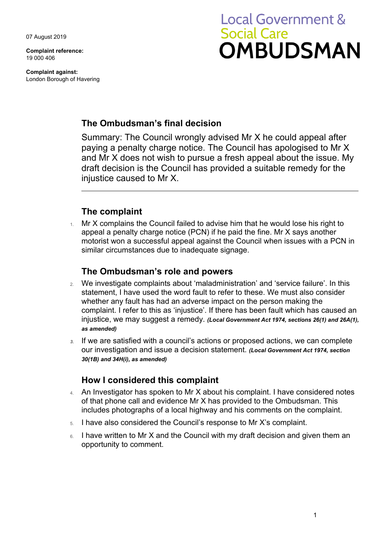07 August 2019

**Complaint reference:**  19 000 406

**Complaint against:**  London Borough of Havering

# **Local Government & Social Care OMBUDSMAN**

# **The Ombudsman's final decision**

 draft decision is the Council has provided a suitable remedy for the Summary: The Council wrongly advised Mr X he could appeal after paying a penalty charge notice. The Council has apologised to Mr X and Mr X does not wish to pursue a fresh appeal about the issue. My injustice caused to Mr X.

# **The complaint**

 motorist won a successful appeal against the Council when issues with a PCN in 1. Mr X complains the Council failed to advise him that he would lose his right to appeal a penalty charge notice (PCN) if he paid the fine. Mr X says another similar circumstances due to inadequate signage.

## **The Ombudsman's role and powers**

- 2. We investigate complaints about 'maladministration' and 'service failure'. In this statement, I have used the word fault to refer to these. We must also consider whether any fault has had an adverse impact on the person making the complaint. I refer to this as 'injustice'. If there has been fault which has caused an injustice, we may suggest a remedy. *(Local Government Act 1974, sections 26(1) and 26A(1), as amended)*
- our investigation and issue a decision statement. *(Local Government Act 1974, section 3.* If we are satisfied with a council's actions or proposed actions, we can complete *30(1B) and 34H(i), as amended)*

# **How I considered this complaint**

- 4. An Investigator has spoken to Mr X about his complaint. I have considered notes of that phone call and evidence Mr X has provided to the Ombudsman. This includes photographs of a local highway and his comments on the complaint.
- 5. I have also considered the Council's response to Mr X's complaint.
- 6. I have written to Mr X and the Council with my draft decision and given them an opportunity to comment.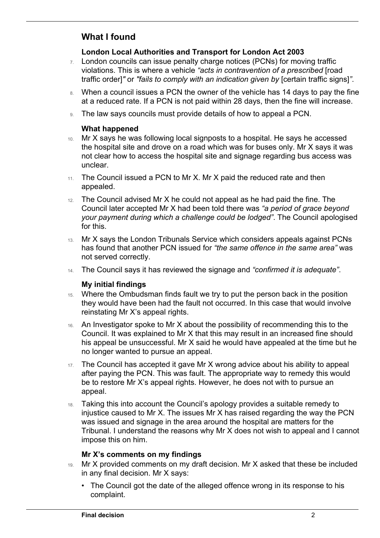# **What I found**

 $\overline{a}$ 

#### **London Local Authorities and Transport for London Act 2003**

- 7. London councils can issue penalty charge notices (PCNs) for moving traffic violations. This is where a vehicle *"acts in contravention of a prescribed* [road traffic order]*"* or *"fails to comply with an indication given by* [certain traffic signs]*"*.
- 8. When a council issues a PCN the owner of the vehicle has 14 days to pay the fine at a reduced rate. If a PCN is not paid within 28 days, then the fine will increase.
- 9. The law says councils must provide details of how to appeal a PCN.

#### **What happened**

- 10. Mr X says he was following local signposts to a hospital. He says he accessed the hospital site and drove on a road which was for buses only. Mr X says it was not clear how to access the hospital site and signage regarding bus access was unclear.
- 11. The Council issued a PCN to Mr X. Mr X paid the reduced rate and then appealed.
- Council later accepted Mr X had been told there was *"a period of grace beyond*  12. The Council advised Mr X he could not appeal as he had paid the fine. The *your payment during which a challenge could be lodged"*. The Council apologised for this.
- has found that another PCN issued for *"the same offence in the same area"* was 13. Mr X says the London Tribunals Service which considers appeals against PCNs not served correctly.
- 14. The Council says it has reviewed the signage and *"confirmed it is adequate"*.

#### **My initial findings**

- 15. Where the Ombudsman finds fault we try to put the person back in the position they would have been had the fault not occurred. In this case that would involve reinstating Mr X's appeal rights.
- no longer wanted to pursue an appeal. 16. An Investigator spoke to Mr X about the possibility of recommending this to the Council. It was explained to Mr X that this may result in an increased fine should his appeal be unsuccessful. Mr X said he would have appealed at the time but he
- after paying the PCN. This was fault. The appropriate way to remedy this would 17. The Council has accepted it gave Mr X wrong advice about his ability to appeal be to restore Mr X's appeal rights. However, he does not with to pursue an appeal.
- 18. Taking this into account the Council's apology provides a suitable remedy to injustice caused to Mr X. The issues Mr X has raised regarding the way the PCN was issued and signage in the area around the hospital are matters for the Tribunal. I understand the reasons why Mr X does not wish to appeal and I cannot impose this on him.

#### **Mr X's comments on my findings**

- Mr X provided comments on my draft decision. Mr X asked that these be included in any final decision. Mr X says:
	- The Council got the date of the alleged offence wrong in its response to his complaint.